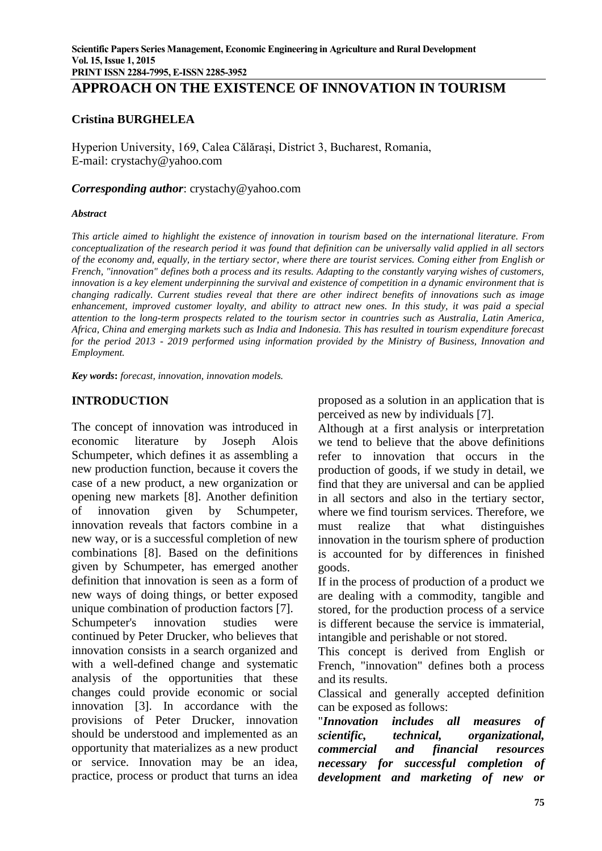# **APPROACH ON THE EXISTENCE OF INNOVATION IN TOURISM**

### **Cristina BURGHELEA**

Hyperion University, 169, Calea Călărași, District 3, Bucharest, Romania, E-mail: [crystachy@yahoo.com](mailto:crystachy@yahoo.com)

#### *Corresponding author*: [crystachy@yahoo.com](mailto:crystachy@yahoo.com)

#### *Abstract*

*This article aimed to highlight the existence of innovation in tourism based on the international literature. From conceptualization of the research period it was found that definition can be universally valid applied in all sectors of the economy and, equally, in the tertiary sector, where there are tourist services. Coming either from English or French, "innovation" defines both a process and its results. Adapting to the constantly varying wishes of customers, innovation is a key element underpinning the survival and existence of competition in a dynamic environment that is changing radically. Current studies reveal that there are other indirect benefits of innovations such as image enhancement, improved customer loyalty, and ability to attract new ones. In this study, it was paid a special attention to the long-term prospects related to the tourism sector in countries such as Australia, Latin America, Africa, China and emerging markets such as India and Indonesia. This has resulted in tourism expenditure forecast for the period 2013 - 2019 performed using information provided by the Ministry of Business, Innovation and Employment.*

*Key words***:** *forecast, innovation, innovation models.*

#### **INTRODUCTION**

The concept of innovation was introduced in economic literature by Joseph Alois Schumpeter, which defines it as assembling a new production function, because it covers the case of a new product, a new organization or opening new markets [8]. Another definition of innovation given by Schumpeter, innovation reveals that factors combine in a new way, or is a successful completion of new combinations [8]. Based on the definitions given by Schumpeter, has emerged another definition that innovation is seen as a form of new ways of doing things, or better exposed unique combination of production factors [7]. Schumpeter's innovation studies were continued by Peter Drucker, who believes that innovation consists in a search organized and with a well-defined change and systematic analysis of the opportunities that these changes could provide economic or social innovation [3]. In accordance with the provisions of Peter Drucker, innovation should be understood and implemented as an opportunity that materializes as a new product or service. Innovation may be an idea, practice, process or product that turns an idea

proposed as a solution in an application that is perceived as new by individuals [7].

Although at a first analysis or interpretation we tend to believe that the above definitions refer to innovation that occurs in the production of goods, if we study in detail, we find that they are universal and can be applied in all sectors and also in the tertiary sector, where we find tourism services. Therefore, we must realize that what distinguishes innovation in the tourism sphere of production is accounted for by differences in finished goods.

If in the process of production of a product we are dealing with a commodity, tangible and stored, for the production process of a service is different because the service is immaterial, intangible and perishable or not stored.

This concept is derived from English or French, "innovation" defines both a process and its results.

Classical and generally accepted definition can be exposed as follows:

"*Innovation includes all measures of scientific, technical, organizational, commercial and financial resources necessary for successful completion of development and marketing of new or*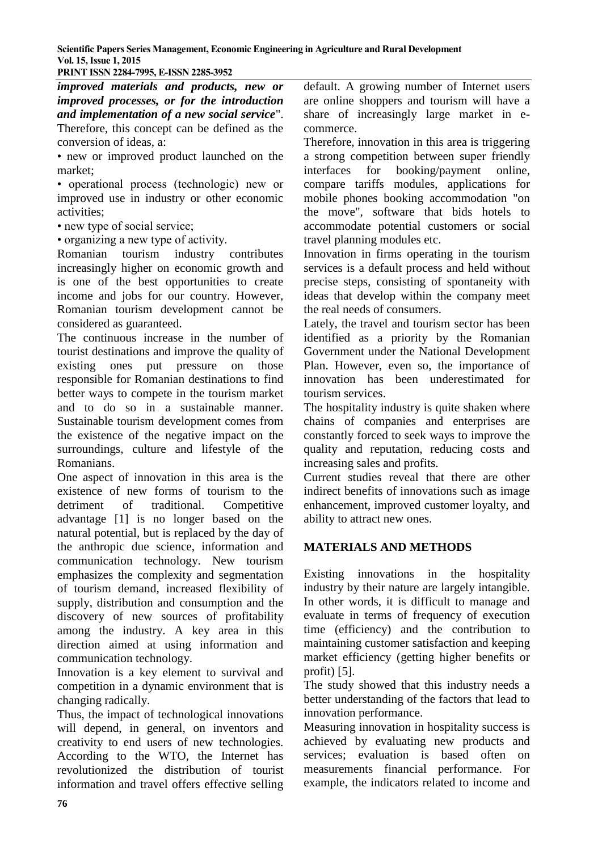#### **PRINT ISSN 2284-7995, E-ISSN 2285-3952**

*improved materials and products, new or improved processes, or for the introduction and implementation of a new social service*". Therefore, this concept can be defined as the conversion of ideas, a:

• new or improved product launched on the market;

• operational process (technologic) new or improved use in industry or other economic activities;

• new type of social service;

• organizing a new type of activity.

Romanian tourism industry contributes increasingly higher on economic growth and is one of the best opportunities to create income and jobs for our country. However, Romanian tourism development cannot be considered as guaranteed.

The continuous increase in the number of tourist destinations and improve the quality of existing ones put pressure on those responsible for Romanian destinations to find better ways to compete in the tourism market and to do so in a sustainable manner. Sustainable tourism development comes from the existence of the negative impact on the surroundings, culture and lifestyle of the Romanians.

One aspect of innovation in this area is the existence of new forms of tourism to the detriment of traditional. Competitive advantage [1] is no longer based on the natural potential, but is replaced by the day of the anthropic due science, information and communication technology. New tourism emphasizes the complexity and segmentation of tourism demand, increased flexibility of supply, distribution and consumption and the discovery of new sources of profitability among the industry. A key area in this direction aimed at using information and communication technology.

Innovation is a key element to survival and competition in a dynamic environment that is changing radically.

Thus, the impact of technological innovations will depend, in general, on inventors and creativity to end users of new technologies. According to the WTO, the Internet has revolutionized the distribution of tourist information and travel offers effective selling

default. A growing number of Internet users are online shoppers and tourism will have a share of increasingly large market in ecommerce.

Therefore, innovation in this area is triggering a strong competition between super friendly interfaces for booking/payment online, compare tariffs modules, applications for mobile phones booking accommodation "on the move", software that bids hotels to accommodate potential customers or social travel planning modules etc.

Innovation in firms operating in the tourism services is a default process and held without precise steps, consisting of spontaneity with ideas that develop within the company meet the real needs of consumers.

Lately, the travel and tourism sector has been identified as a priority by the Romanian Government under the National Development Plan. However, even so, the importance of innovation has been underestimated for tourism services.

The hospitality industry is quite shaken where chains of companies and enterprises are constantly forced to seek ways to improve the quality and reputation, reducing costs and increasing sales and profits.

Current studies reveal that there are other indirect benefits of innovations such as image enhancement, improved customer loyalty, and ability to attract new ones.

#### **MATERIALS AND METHODS**

Existing innovations in the hospitality industry by their nature are largely intangible. In other words, it is difficult to manage and evaluate in terms of frequency of execution time (efficiency) and the contribution to maintaining customer satisfaction and keeping market efficiency (getting higher benefits or profit) [5].

The study showed that this industry needs a better understanding of the factors that lead to innovation performance.

Measuring innovation in hospitality success is achieved by evaluating new products and services; evaluation is based often on measurements financial performance. For example, the indicators related to income and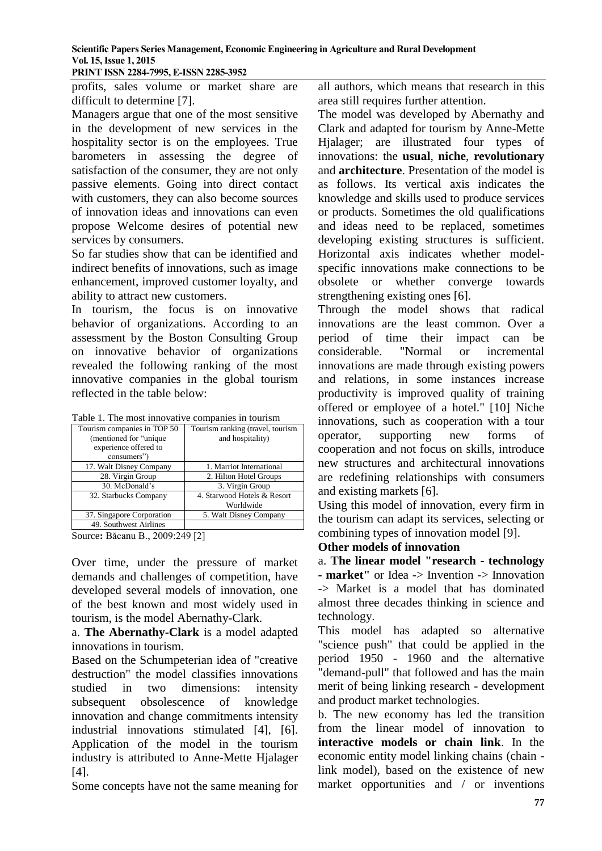**PRINT ISSN 2284-7995, E-ISSN 2285-3952** 

profits, sales volume or market share are difficult to determine [7].

Managers argue that one of the most sensitive in the development of new services in the hospitality sector is on the employees. True barometers in assessing the degree of satisfaction of the consumer, they are not only passive elements. Going into direct contact with customers, they can also become sources of innovation ideas and innovations can even propose Welcome desires of potential new services by consumers.

So far studies show that can be identified and indirect benefits of innovations, such as image enhancement, improved customer loyalty, and ability to attract new customers.

In tourism, the focus is on innovative behavior of organizations. According to an assessment by the Boston Consulting Group on innovative behavior of organizations revealed the following ranking of the most innovative companies in the global tourism reflected in the table below:

|  |  |  |  | Table 1. The most innovative companies in tourism |
|--|--|--|--|---------------------------------------------------|
|  |  |  |  |                                                   |

| Tourism companies in TOP 50 | Tourism ranking (travel, tourism |  |  |  |
|-----------------------------|----------------------------------|--|--|--|
| (mentioned for "unique"     | and hospitality)                 |  |  |  |
| experience offered to       |                                  |  |  |  |
| consumers")                 |                                  |  |  |  |
| 17. Walt Disney Company     | 1. Marriot International         |  |  |  |
| 28. Virgin Group            | 2. Hilton Hotel Groups           |  |  |  |
| 30. McDonald's              | 3. Virgin Group                  |  |  |  |
| 32. Starbucks Company       | 4. Starwood Hotels & Resort      |  |  |  |
|                             | Worldwide                        |  |  |  |
| 37. Singapore Corporation   | 5. Walt Disney Company           |  |  |  |
| 49. Southwest Airlines      |                                  |  |  |  |

Source**:** Băcanu B., 2009:249 [2]

Over time, under the pressure of market demands and challenges of competition, have developed several models of innovation, one of the best known and most widely used in tourism, is the model Abernathy-Clark.

a. **The Abernathy-Clark** is a model adapted innovations in tourism.

Based on the Schumpeterian idea of "creative destruction" the model classifies innovations studied in two dimensions: intensity subsequent obsolescence of knowledge innovation and change commitments intensity industrial innovations stimulated [4], [6]. Application of the model in the tourism industry is attributed to Anne-Mette Hjalager [4].

Some concepts have not the same meaning for

all authors, which means that research in this area still requires further attention.

The model was developed by Abernathy and Clark and adapted for tourism by Anne-Mette Hjalager; are illustrated four types of innovations: the **usual**, **niche**, **revolutionary** and **architecture**. Presentation of the model is as follows. Its vertical axis indicates the knowledge and skills used to produce services or products. Sometimes the old qualifications and ideas need to be replaced, sometimes developing existing structures is sufficient. Horizontal axis indicates whether modelspecific innovations make connections to be obsolete or whether converge towards strengthening existing ones [6].

Through the model shows that radical innovations are the least common. Over a period of time their impact can be considerable. "Normal or incremental innovations are made through existing powers and relations, in some instances increase productivity is improved quality of training offered or employee of a hotel." [10] Niche innovations, such as cooperation with a tour operator, supporting new forms of cooperation and not focus on skills, introduce new structures and architectural innovations are redefining relationships with consumers and existing markets [6].

Using this model of innovation, every firm in the tourism can adapt its services, selecting or combining types of innovation model [9].

# **Other models of innovation**

a. **The linear model "research - technology - market"** or Idea -> Invention -> Innovation -> Market is a model that has dominated almost three decades thinking in science and technology.

This model has adapted so alternative "science push" that could be applied in the period 1950 - 1960 and the alternative "demand-pull" that followed and has the main merit of being linking research - development and product market technologies.

b. The new economy has led the transition from the linear model of innovation to **interactive models or chain link**. In the economic entity model linking chains (chain link model), based on the existence of new market opportunities and / or inventions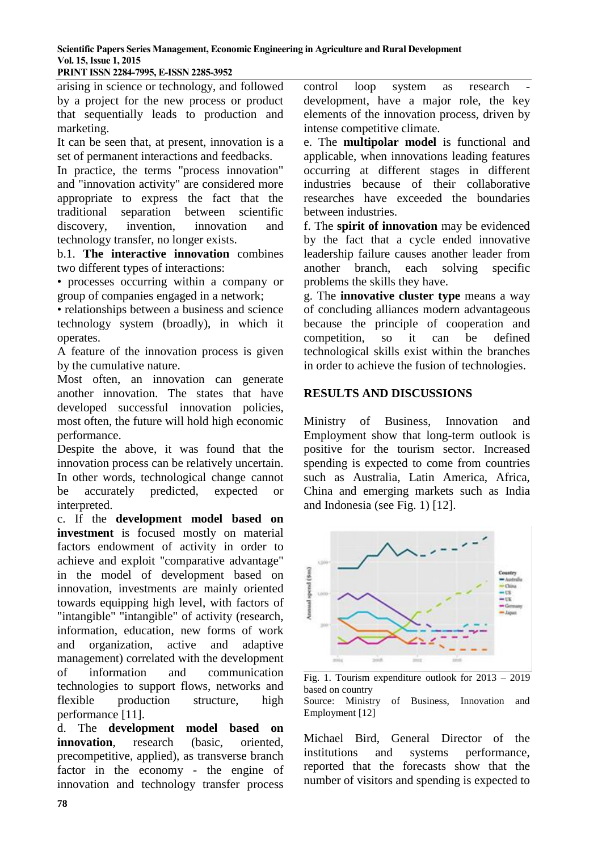**PRINT ISSN 2284-7995, E-ISSN 2285-3952** 

arising in science or technology, and followed by a project for the new process or product that sequentially leads to production and marketing.

It can be seen that, at present, innovation is a set of permanent interactions and feedbacks.

In practice, the terms "process innovation" and "innovation activity" are considered more appropriate to express the fact that the traditional separation between scientific discovery, invention, innovation and technology transfer, no longer exists.

b.1. **The interactive innovation** combines two different types of interactions:

• processes occurring within a company or group of companies engaged in a network;

• relationships between a business and science technology system (broadly), in which it operates.

A feature of the innovation process is given by the cumulative nature.

Most often, an innovation can generate another innovation. The states that have developed successful innovation policies, most often, the future will hold high economic performance.

Despite the above, it was found that the innovation process can be relatively uncertain. In other words, technological change cannot be accurately predicted, expected or interpreted.

c. If the **development model based on investment** is focused mostly on material factors endowment of activity in order to achieve and exploit "comparative advantage" in the model of development based on innovation, investments are mainly oriented towards equipping high level, with factors of "intangible" "intangible" of activity (research, information, education, new forms of work and organization, active and adaptive management) correlated with the development of information and communication technologies to support flows, networks and flexible production structure, high performance [11].

d. The **development model based on innovation**, research (basic, oriented, precompetitive, applied), as transverse branch factor in the economy - the engine of innovation and technology transfer process

control loop system as research development, have a major role, the key elements of the innovation process, driven by intense competitive climate.

e. The **multipolar model** is functional and applicable, when innovations leading features occurring at different stages in different industries because of their collaborative researches have exceeded the boundaries between industries.

f. The **spirit of innovation** may be evidenced by the fact that a cycle ended innovative leadership failure causes another leader from another branch, each solving specific problems the skills they have.

g. The **innovative cluster type** means a way of concluding alliances modern advantageous because the principle of cooperation and competition, so it can be defined technological skills exist within the branches in order to achieve the fusion of technologies.

#### **RESULTS AND DISCUSSIONS**

Ministry of Business, Innovation and Employment show that long-term outlook is positive for the tourism sector. Increased spending is expected to come from countries such as Australia, Latin America, Africa, China and emerging markets such as India and Indonesia (see Fig. 1) [12].



Fig. 1. Tourism expenditure outlook for 2013 – 2019 based on country Source: Ministry of Business, Innovation and

Employment [12]

Michael Bird, General Director of the institutions and systems performance, reported that the forecasts show that the number of visitors and spending is expected to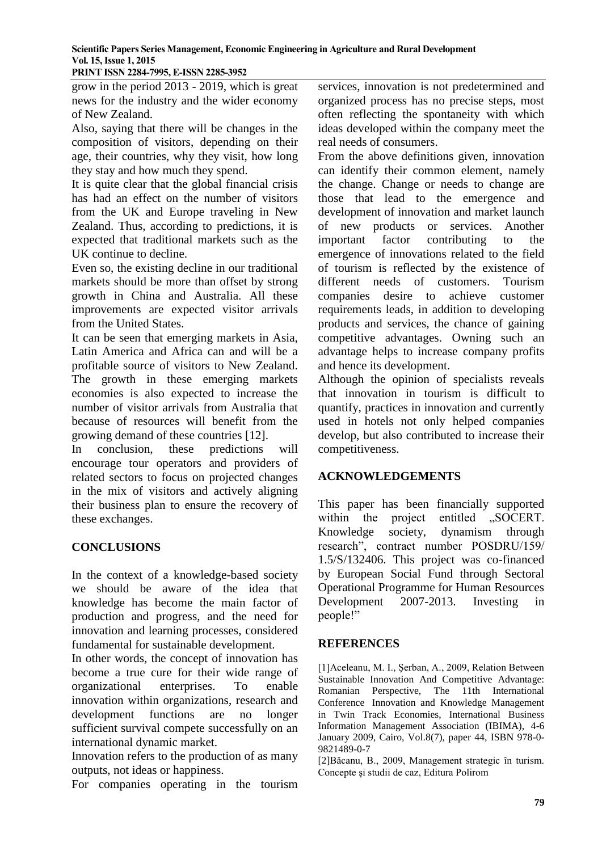**PRINT ISSN 2284-7995, E-ISSN 2285-3952** 

grow in the period 2013 - 2019, which is great news for the industry and the wider economy of New Zealand.

Also, saying that there will be changes in the composition of visitors, depending on their age, their countries, why they visit, how long they stay and how much they spend.

It is quite clear that the global financial crisis has had an effect on the number of visitors from the UK and Europe traveling in New Zealand. Thus, according to predictions, it is expected that traditional markets such as the UK continue to decline.

Even so, the existing decline in our traditional markets should be more than offset by strong growth in China and Australia. All these improvements are expected visitor arrivals from the United States.

It can be seen that emerging markets in Asia, Latin America and Africa can and will be a profitable source of visitors to New Zealand. The growth in these emerging markets economies is also expected to increase the number of visitor arrivals from Australia that because of resources will benefit from the growing demand of these countries [12].

In conclusion, these predictions will encourage tour operators and providers of related sectors to focus on projected changes in the mix of visitors and actively aligning their business plan to ensure the recovery of these exchanges.

# **CONCLUSIONS**

In the context of a knowledge-based society we should be aware of the idea that knowledge has become the main factor of production and progress, and the need for innovation and learning processes, considered fundamental for sustainable development.

In other words, the concept of innovation has become a true cure for their wide range of organizational enterprises. To enable innovation within organizations, research and development functions are no longer sufficient survival compete successfully on an international dynamic market.

Innovation refers to the production of as many outputs, not ideas or happiness.

For companies operating in the tourism

services, innovation is not predetermined and organized process has no precise steps, most often reflecting the spontaneity with which ideas developed within the company meet the real needs of consumers.

From the above definitions given, innovation can identify their common element, namely the change. Change or needs to change are those that lead to the emergence and development of innovation and market launch of new products or services. Another important factor contributing to the emergence of innovations related to the field of tourism is reflected by the existence of different needs of customers. Tourism companies desire to achieve customer requirements leads, in addition to developing products and services, the chance of gaining competitive advantages. Owning such an advantage helps to increase company profits and hence its development.

Although the opinion of specialists reveals that innovation in tourism is difficult to quantify, practices in innovation and currently used in hotels not only helped companies develop, but also contributed to increase their competitiveness.

# **ACKNOWLEDGEMENTS**

This paper has been financially supported within the project entitled "SOCERT. Knowledge society, dynamism through research", contract number POSDRU/159/ 1.5/S/132406. This project was co-financed by European Social Fund through Sectoral Operational Programme for Human Resources Development 2007-2013. Investing in people!"

# **REFERENCES**

[1]Aceleanu, M. I., Şerban, A., 2009, Relation Between Sustainable Innovation And Competitive Advantage: Romanian Perspective, The 11th International Conference Innovation and Knowledge Management in Twin Track Economies, International Business Information Management Association (IBIMA), 4-6 January 2009, Cairo, Vol.8(7), paper 44, ISBN 978-0- 9821489-0-7

[2]Băcanu, B., 2009, Management strategic în turism. Concepte şi studii de caz, Editura Polirom